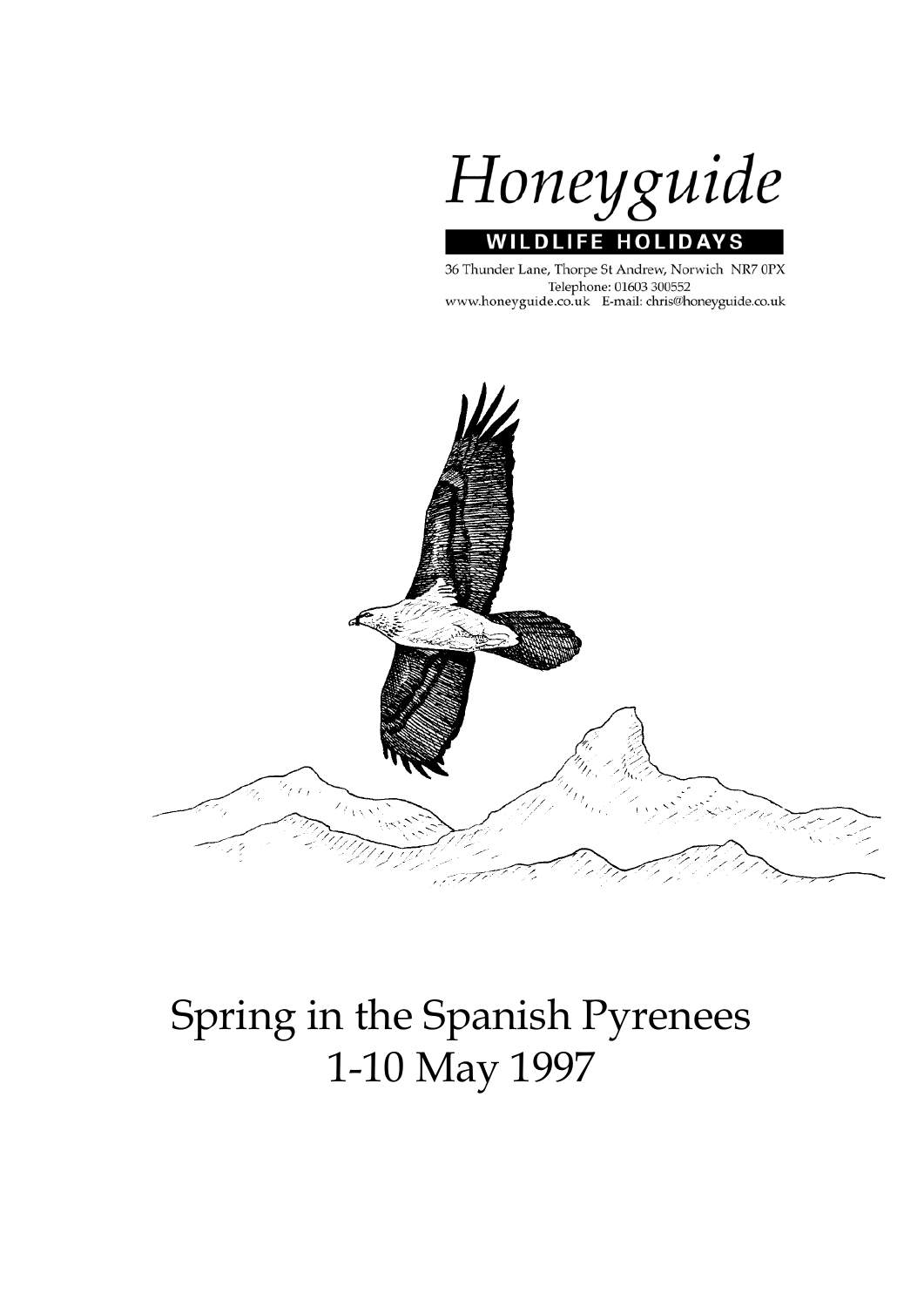

#### 36 Thunder Lane, Thorpe St Andrew, Norwich NR7 0PX Telephone: 01603 300552 www.honeyguide.co.uk E-mail: chris@honeyguide.co.uk



# Spring in the Spanish Pyrenees 1-10 May 1997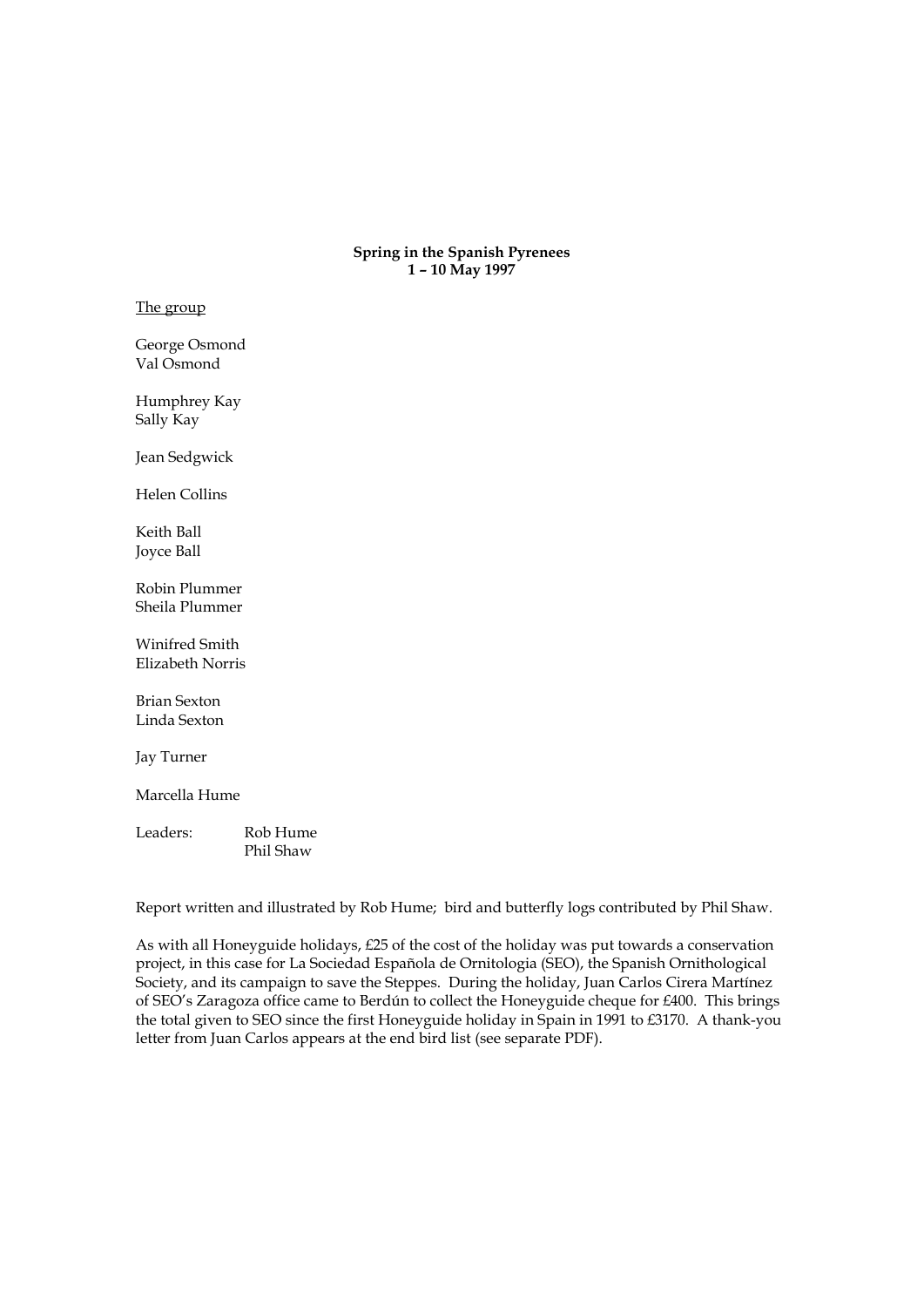**Spring in the Spanish Pyrenees 1 – 10 May 1997** 

The group

George Osmond Val Osmond

Humphrey Kay Sally Kay

Jean Sedgwick

Helen Collins

Keith Ball Joyce Ball

Robin Plummer Sheila Plummer

Winifred Smith Elizabeth Norris

Brian Sexton Linda Sexton

Jay Turner

Marcella Hume

Leaders: Rob Hume Phil Shaw

Report written and illustrated by Rob Hume; bird and butterfly logs contributed by Phil Shaw.

As with all Honeyguide holidays, £25 of the cost of the holiday was put towards a conservation project, in this case for La Sociedad Española de Ornitologia (SEO), the Spanish Ornithological Society, and its campaign to save the Steppes. During the holiday, Juan Carlos Cirera Martínez of SEO's Zaragoza office came to Berdún to collect the Honeyguide cheque for £400. This brings the total given to SEO since the first Honeyguide holiday in Spain in 1991 to £3170. A thank-you letter from Juan Carlos appears at the end bird list (see separate PDF).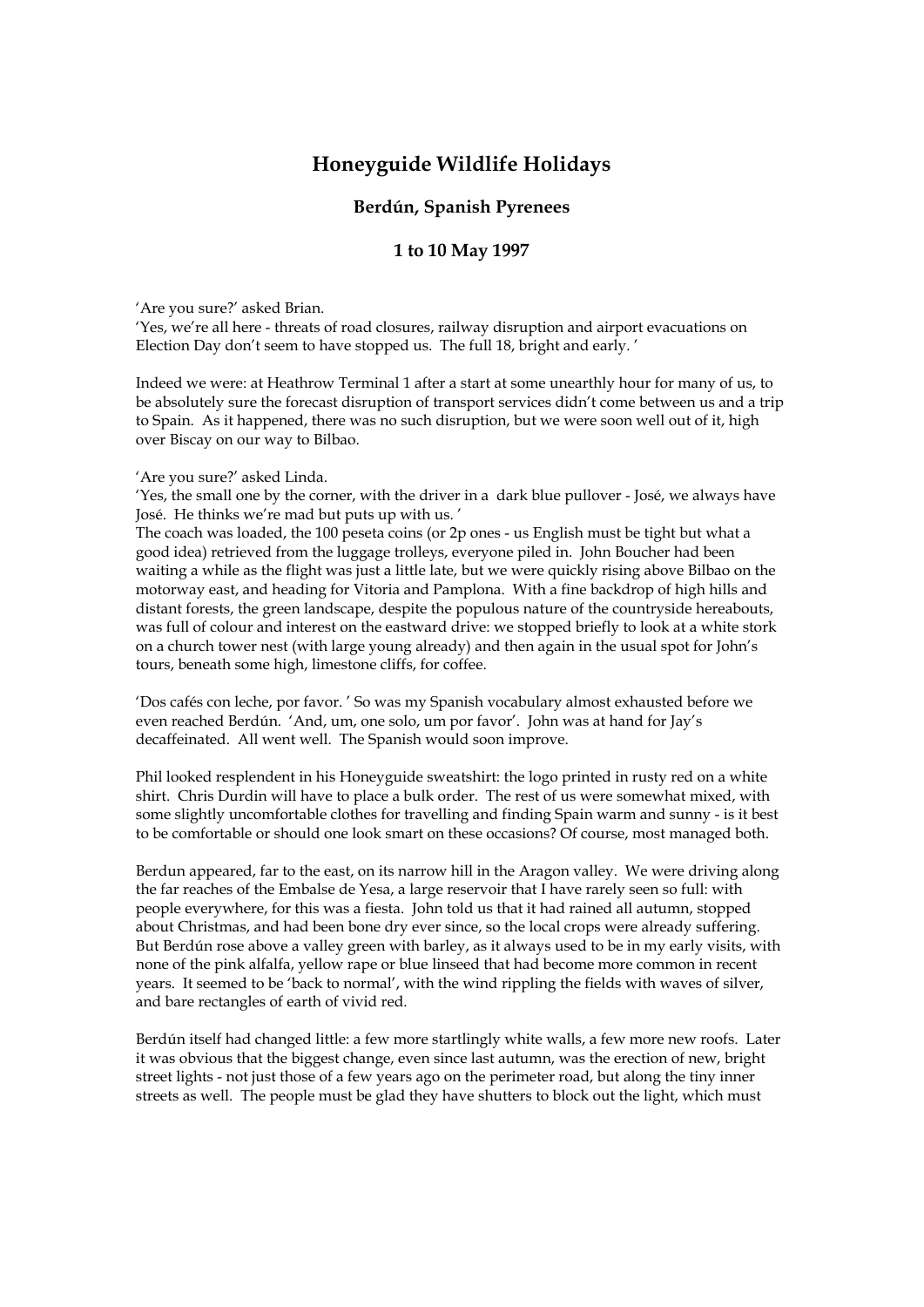# **Honeyguide Wildlife Holidays**

### **Berdún, Spanish Pyrenees**

## **1 to 10 May 1997**

'Are you sure?' asked Brian.

'Yes, we're all here - threats of road closures, railway disruption and airport evacuations on Election Day don't seem to have stopped us. The full 18, bright and early. '

Indeed we were: at Heathrow Terminal 1 after a start at some unearthly hour for many of us, to be absolutely sure the forecast disruption of transport services didn't come between us and a trip to Spain. As it happened, there was no such disruption, but we were soon well out of it, high over Biscay on our way to Bilbao.

'Are you sure?' asked Linda.

'Yes, the small one by the corner, with the driver in a dark blue pullover - José, we always have José. He thinks we're mad but puts up with us. '

The coach was loaded, the 100 peseta coins (or 2p ones - us English must be tight but what a good idea) retrieved from the luggage trolleys, everyone piled in. John Boucher had been waiting a while as the flight was just a little late, but we were quickly rising above Bilbao on the motorway east, and heading for Vitoria and Pamplona. With a fine backdrop of high hills and distant forests, the green landscape, despite the populous nature of the countryside hereabouts, was full of colour and interest on the eastward drive: we stopped briefly to look at a white stork on a church tower nest (with large young already) and then again in the usual spot for John's tours, beneath some high, limestone cliffs, for coffee.

'Dos cafés con leche, por favor. ' So was my Spanish vocabulary almost exhausted before we even reached Berdún. 'And, um, one solo, um por favor'. John was at hand for Jay's decaffeinated. All went well. The Spanish would soon improve.

Phil looked resplendent in his Honeyguide sweatshirt: the logo printed in rusty red on a white shirt. Chris Durdin will have to place a bulk order. The rest of us were somewhat mixed, with some slightly uncomfortable clothes for travelling and finding Spain warm and sunny - is it best to be comfortable or should one look smart on these occasions? Of course, most managed both.

Berdun appeared, far to the east, on its narrow hill in the Aragon valley. We were driving along the far reaches of the Embalse de Yesa, a large reservoir that I have rarely seen so full: with people everywhere, for this was a fiesta. John told us that it had rained all autumn, stopped about Christmas, and had been bone dry ever since, so the local crops were already suffering. But Berdún rose above a valley green with barley, as it always used to be in my early visits, with none of the pink alfalfa, yellow rape or blue linseed that had become more common in recent years. It seemed to be 'back to normal', with the wind rippling the fields with waves of silver, and bare rectangles of earth of vivid red.

Berdún itself had changed little: a few more startlingly white walls, a few more new roofs. Later it was obvious that the biggest change, even since last autumn, was the erection of new, bright street lights - not just those of a few years ago on the perimeter road, but along the tiny inner streets as well. The people must be glad they have shutters to block out the light, which must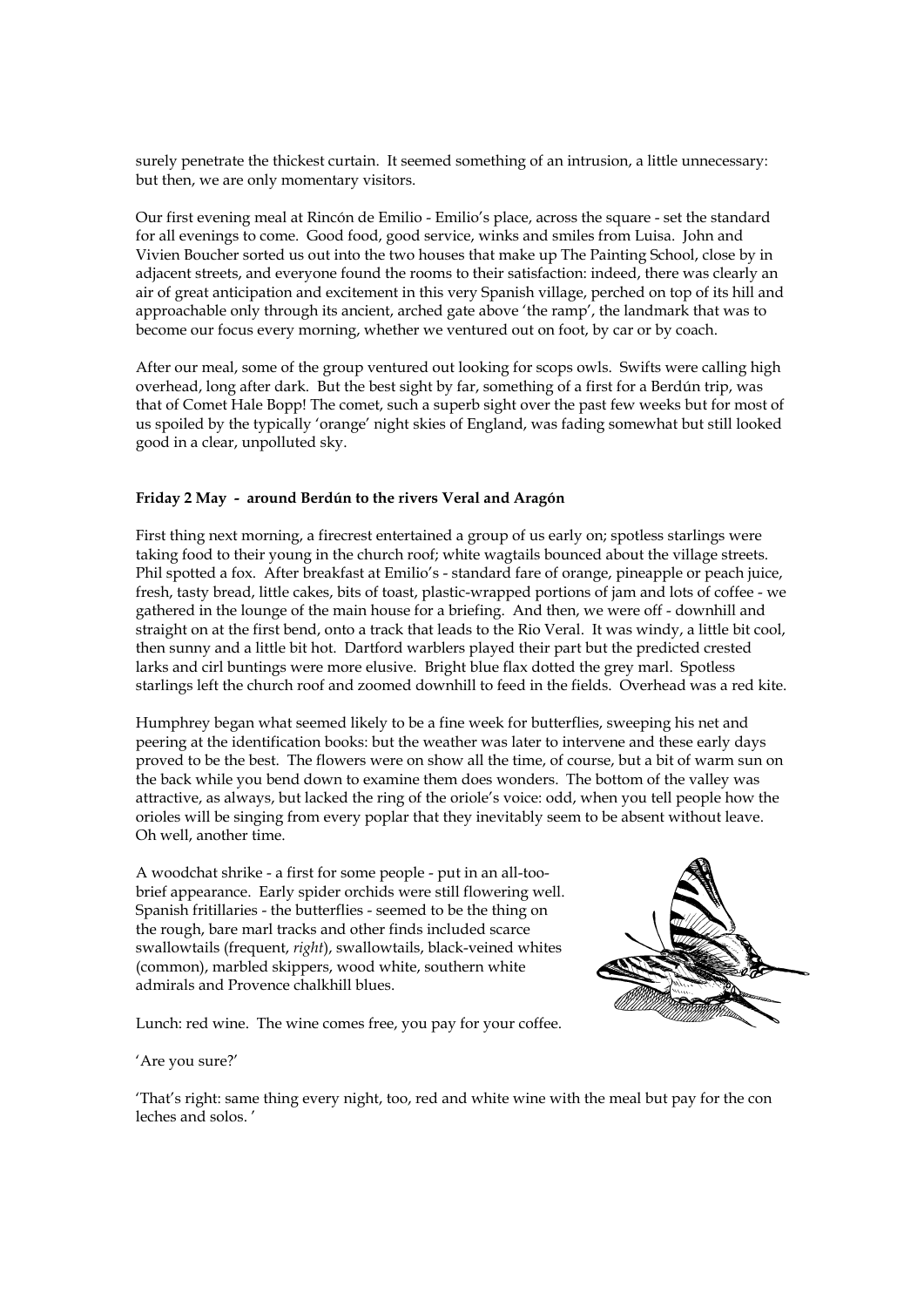surely penetrate the thickest curtain. It seemed something of an intrusion, a little unnecessary: but then, we are only momentary visitors.

Our first evening meal at Rincón de Emilio - Emilio's place, across the square - set the standard for all evenings to come. Good food, good service, winks and smiles from Luisa. John and Vivien Boucher sorted us out into the two houses that make up The Painting School, close by in adjacent streets, and everyone found the rooms to their satisfaction: indeed, there was clearly an air of great anticipation and excitement in this very Spanish village, perched on top of its hill and approachable only through its ancient, arched gate above 'the ramp', the landmark that was to become our focus every morning, whether we ventured out on foot, by car or by coach.

After our meal, some of the group ventured out looking for scops owls. Swifts were calling high overhead, long after dark. But the best sight by far, something of a first for a Berdún trip, was that of Comet Hale Bopp! The comet, such a superb sight over the past few weeks but for most of us spoiled by the typically 'orange' night skies of England, was fading somewhat but still looked good in a clear, unpolluted sky.

#### **Friday 2 May - around Berdún to the rivers Veral and Aragón**

First thing next morning, a firecrest entertained a group of us early on; spotless starlings were taking food to their young in the church roof; white wagtails bounced about the village streets. Phil spotted a fox. After breakfast at Emilio's - standard fare of orange, pineapple or peach juice, fresh, tasty bread, little cakes, bits of toast, plastic-wrapped portions of jam and lots of coffee - we gathered in the lounge of the main house for a briefing. And then, we were off - downhill and straight on at the first bend, onto a track that leads to the Rio Veral. It was windy, a little bit cool, then sunny and a little bit hot. Dartford warblers played their part but the predicted crested larks and cirl buntings were more elusive. Bright blue flax dotted the grey marl. Spotless starlings left the church roof and zoomed downhill to feed in the fields. Overhead was a red kite.

Humphrey began what seemed likely to be a fine week for butterflies, sweeping his net and peering at the identification books: but the weather was later to intervene and these early days proved to be the best. The flowers were on show all the time, of course, but a bit of warm sun on the back while you bend down to examine them does wonders. The bottom of the valley was attractive, as always, but lacked the ring of the oriole's voice: odd, when you tell people how the orioles will be singing from every poplar that they inevitably seem to be absent without leave. Oh well, another time.

A woodchat shrike - a first for some people - put in an all-toobrief appearance. Early spider orchids were still flowering well. Spanish fritillaries - the butterflies - seemed to be the thing on the rough, bare marl tracks and other finds included scarce swallowtails (frequent, *right*), swallowtails, black-veined whites (common), marbled skippers, wood white, southern white admirals and Provence chalkhill blues.



Lunch: red wine. The wine comes free, you pay for your coffee.

#### 'Are you sure?'

'That's right: same thing every night, too, red and white wine with the meal but pay for the con leches and solos. '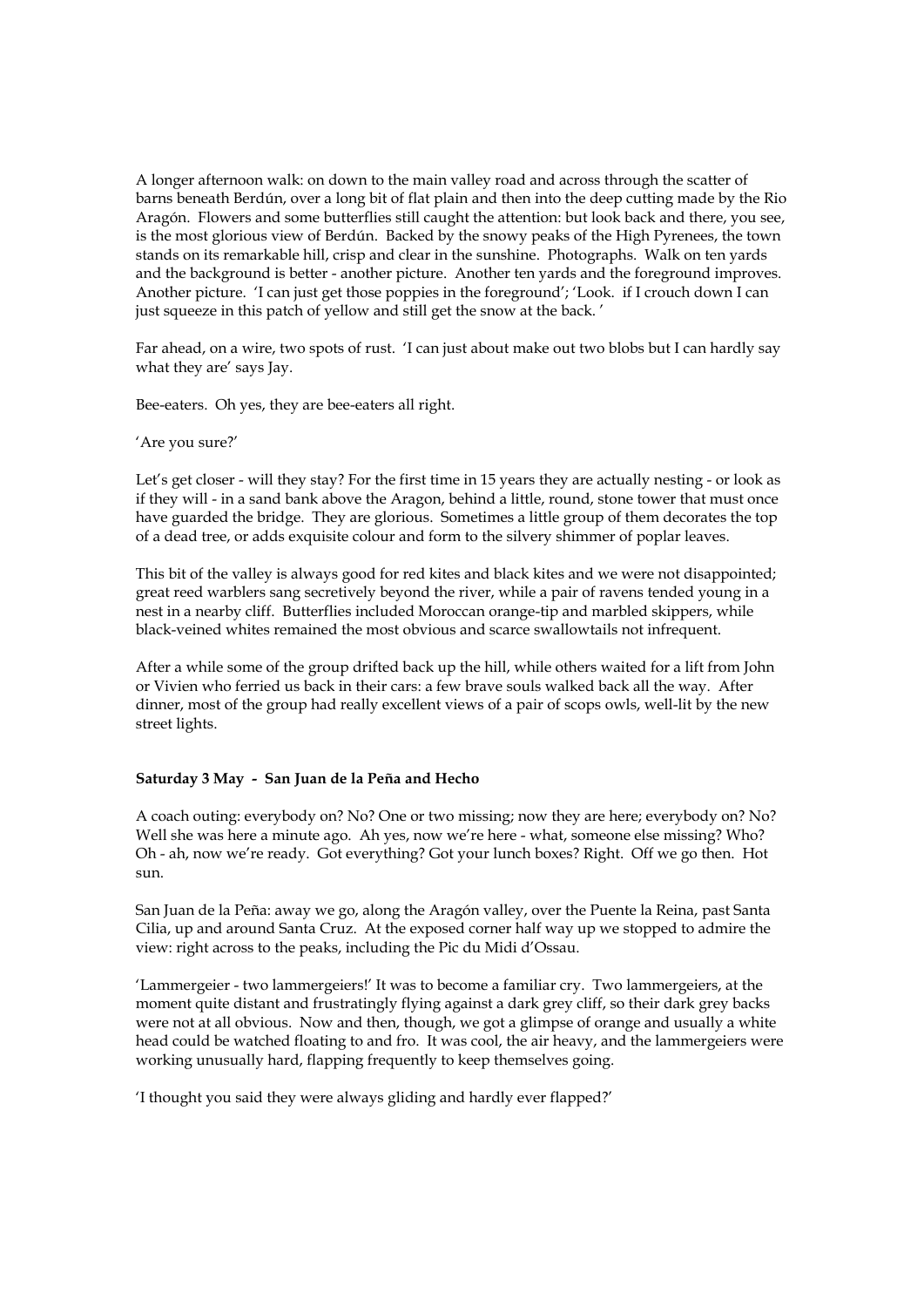A longer afternoon walk: on down to the main valley road and across through the scatter of barns beneath Berdún, over a long bit of flat plain and then into the deep cutting made by the Rio Aragón. Flowers and some butterflies still caught the attention: but look back and there, you see, is the most glorious view of Berdún. Backed by the snowy peaks of the High Pyrenees, the town stands on its remarkable hill, crisp and clear in the sunshine. Photographs. Walk on ten yards and the background is better - another picture. Another ten yards and the foreground improves. Another picture. 'I can just get those poppies in the foreground'; 'Look. if I crouch down I can just squeeze in this patch of yellow and still get the snow at the back. '

Far ahead, on a wire, two spots of rust. 'I can just about make out two blobs but I can hardly say what they are' says Jay.

Bee-eaters. Oh yes, they are bee-eaters all right.

#### 'Are you sure?'

Let's get closer - will they stay? For the first time in 15 years they are actually nesting - or look as if they will - in a sand bank above the Aragon, behind a little, round, stone tower that must once have guarded the bridge. They are glorious. Sometimes a little group of them decorates the top of a dead tree, or adds exquisite colour and form to the silvery shimmer of poplar leaves.

This bit of the valley is always good for red kites and black kites and we were not disappointed; great reed warblers sang secretively beyond the river, while a pair of ravens tended young in a nest in a nearby cliff. Butterflies included Moroccan orange-tip and marbled skippers, while black-veined whites remained the most obvious and scarce swallowtails not infrequent.

After a while some of the group drifted back up the hill, while others waited for a lift from John or Vivien who ferried us back in their cars: a few brave souls walked back all the way. After dinner, most of the group had really excellent views of a pair of scops owls, well-lit by the new street lights.

#### **Saturday 3 May - San Juan de la Peña and Hecho**

A coach outing: everybody on? No? One or two missing; now they are here; everybody on? No? Well she was here a minute ago. Ah yes, now we're here - what, someone else missing? Who? Oh - ah, now we're ready. Got everything? Got your lunch boxes? Right. Off we go then. Hot sun.

San Juan de la Peña: away we go, along the Aragón valley, over the Puente la Reina, past Santa Cilia, up and around Santa Cruz. At the exposed corner half way up we stopped to admire the view: right across to the peaks, including the Pic du Midi d'Ossau.

'Lammergeier - two lammergeiers!' It was to become a familiar cry. Two lammergeiers, at the moment quite distant and frustratingly flying against a dark grey cliff, so their dark grey backs were not at all obvious. Now and then, though, we got a glimpse of orange and usually a white head could be watched floating to and fro. It was cool, the air heavy, and the lammergeiers were working unusually hard, flapping frequently to keep themselves going.

'I thought you said they were always gliding and hardly ever flapped?'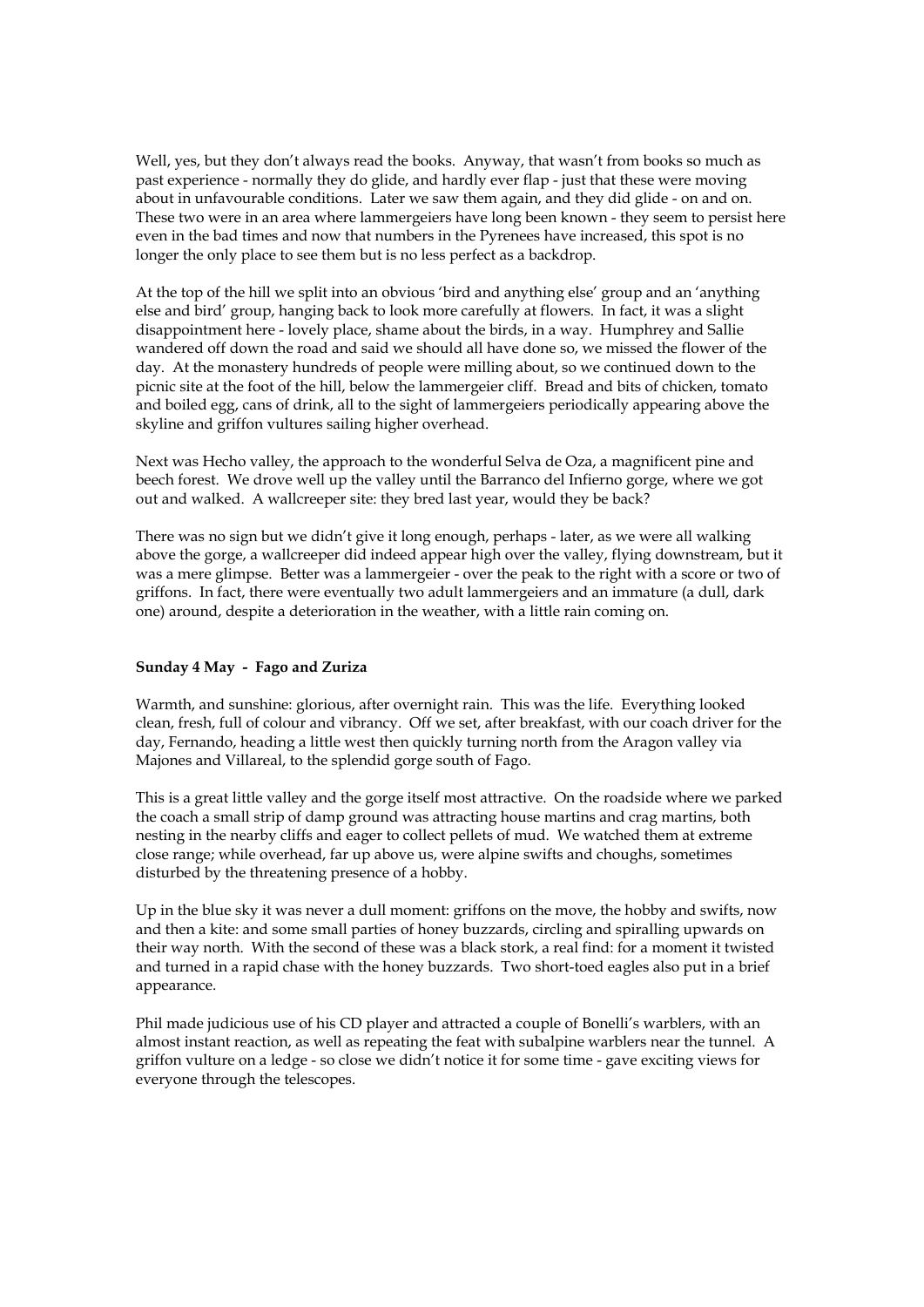Well, yes, but they don't always read the books. Anyway, that wasn't from books so much as past experience - normally they do glide, and hardly ever flap - just that these were moving about in unfavourable conditions. Later we saw them again, and they did glide - on and on. These two were in an area where lammergeiers have long been known - they seem to persist here even in the bad times and now that numbers in the Pyrenees have increased, this spot is no longer the only place to see them but is no less perfect as a backdrop.

At the top of the hill we split into an obvious 'bird and anything else' group and an 'anything else and bird' group, hanging back to look more carefully at flowers. In fact, it was a slight disappointment here - lovely place, shame about the birds, in a way. Humphrey and Sallie wandered off down the road and said we should all have done so, we missed the flower of the day. At the monastery hundreds of people were milling about, so we continued down to the picnic site at the foot of the hill, below the lammergeier cliff. Bread and bits of chicken, tomato and boiled egg, cans of drink, all to the sight of lammergeiers periodically appearing above the skyline and griffon vultures sailing higher overhead.

Next was Hecho valley, the approach to the wonderful Selva de Oza, a magnificent pine and beech forest. We drove well up the valley until the Barranco del Infierno gorge, where we got out and walked. A wallcreeper site: they bred last year, would they be back?

There was no sign but we didn't give it long enough, perhaps - later, as we were all walking above the gorge, a wallcreeper did indeed appear high over the valley, flying downstream, but it was a mere glimpse. Better was a lammergeier - over the peak to the right with a score or two of griffons. In fact, there were eventually two adult lammergeiers and an immature (a dull, dark one) around, despite a deterioration in the weather, with a little rain coming on.

#### **Sunday 4 May - Fago and Zuriza**

Warmth, and sunshine: glorious, after overnight rain. This was the life. Everything looked clean, fresh, full of colour and vibrancy. Off we set, after breakfast, with our coach driver for the day, Fernando, heading a little west then quickly turning north from the Aragon valley via Majones and Villareal, to the splendid gorge south of Fago.

This is a great little valley and the gorge itself most attractive. On the roadside where we parked the coach a small strip of damp ground was attracting house martins and crag martins, both nesting in the nearby cliffs and eager to collect pellets of mud. We watched them at extreme close range; while overhead, far up above us, were alpine swifts and choughs, sometimes disturbed by the threatening presence of a hobby.

Up in the blue sky it was never a dull moment: griffons on the move, the hobby and swifts, now and then a kite: and some small parties of honey buzzards, circling and spiralling upwards on their way north. With the second of these was a black stork, a real find: for a moment it twisted and turned in a rapid chase with the honey buzzards. Two short-toed eagles also put in a brief appearance.

Phil made judicious use of his CD player and attracted a couple of Bonelli's warblers, with an almost instant reaction, as well as repeating the feat with subalpine warblers near the tunnel. A griffon vulture on a ledge - so close we didn't notice it for some time - gave exciting views for everyone through the telescopes.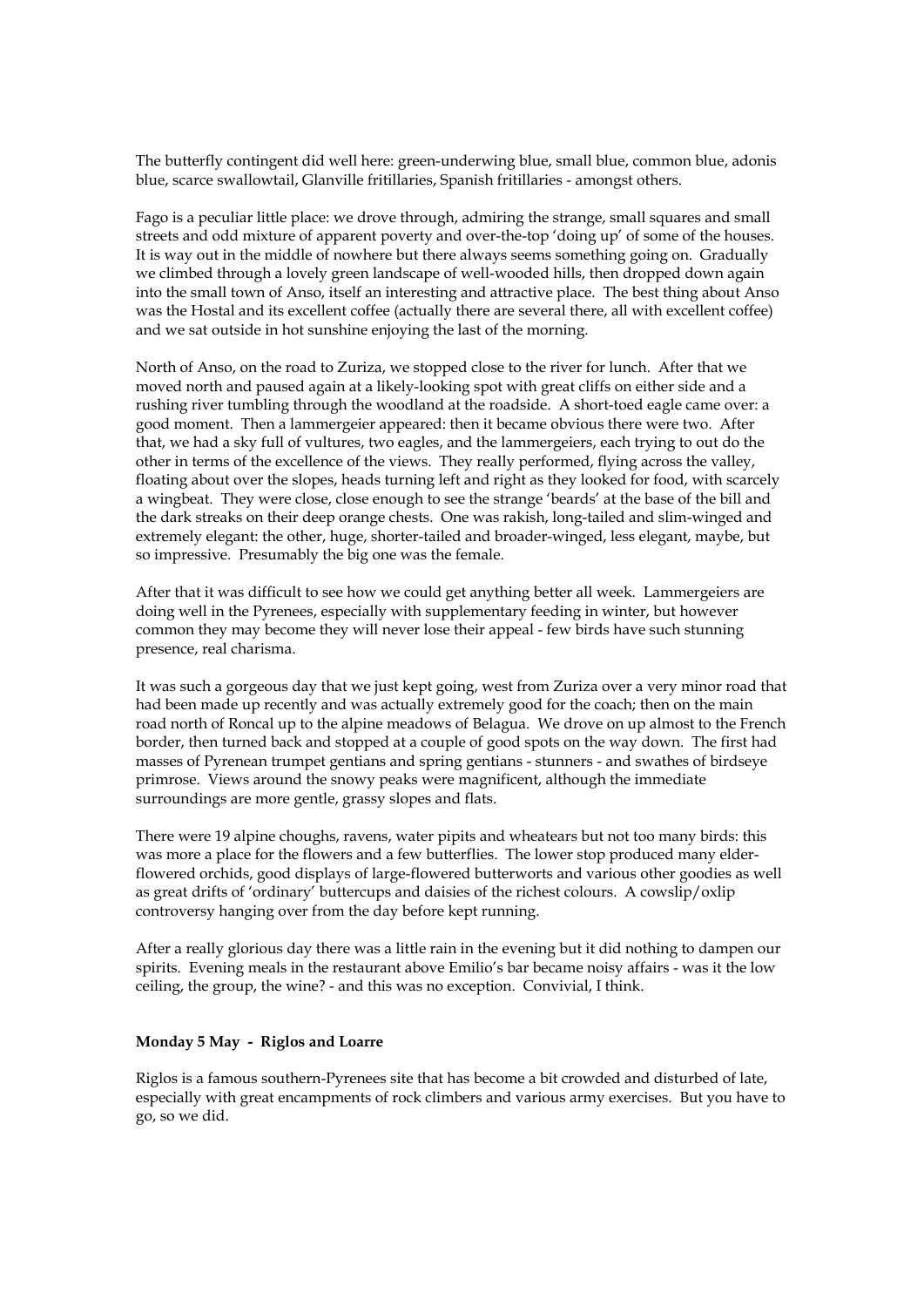The butterfly contingent did well here: green-underwing blue, small blue, common blue, adonis blue, scarce swallowtail, Glanville fritillaries, Spanish fritillaries - amongst others.

Fago is a peculiar little place: we drove through, admiring the strange, small squares and small streets and odd mixture of apparent poverty and over-the-top 'doing up' of some of the houses. It is way out in the middle of nowhere but there always seems something going on. Gradually we climbed through a lovely green landscape of well-wooded hills, then dropped down again into the small town of Anso, itself an interesting and attractive place. The best thing about Anso was the Hostal and its excellent coffee (actually there are several there, all with excellent coffee) and we sat outside in hot sunshine enjoying the last of the morning.

North of Anso, on the road to Zuriza, we stopped close to the river for lunch. After that we moved north and paused again at a likely-looking spot with great cliffs on either side and a rushing river tumbling through the woodland at the roadside. A short-toed eagle came over: a good moment. Then a lammergeier appeared: then it became obvious there were two. After that, we had a sky full of vultures, two eagles, and the lammergeiers, each trying to out do the other in terms of the excellence of the views. They really performed, flying across the valley, floating about over the slopes, heads turning left and right as they looked for food, with scarcely a wingbeat. They were close, close enough to see the strange 'beards' at the base of the bill and the dark streaks on their deep orange chests. One was rakish, long-tailed and slim-winged and extremely elegant: the other, huge, shorter-tailed and broader-winged, less elegant, maybe, but so impressive. Presumably the big one was the female.

After that it was difficult to see how we could get anything better all week. Lammergeiers are doing well in the Pyrenees, especially with supplementary feeding in winter, but however common they may become they will never lose their appeal - few birds have such stunning presence, real charisma.

It was such a gorgeous day that we just kept going, west from Zuriza over a very minor road that had been made up recently and was actually extremely good for the coach; then on the main road north of Roncal up to the alpine meadows of Belagua. We drove on up almost to the French border, then turned back and stopped at a couple of good spots on the way down. The first had masses of Pyrenean trumpet gentians and spring gentians - stunners - and swathes of birdseye primrose. Views around the snowy peaks were magnificent, although the immediate surroundings are more gentle, grassy slopes and flats.

There were 19 alpine choughs, ravens, water pipits and wheatears but not too many birds: this was more a place for the flowers and a few butterflies. The lower stop produced many elderflowered orchids, good displays of large-flowered butterworts and various other goodies as well as great drifts of 'ordinary' buttercups and daisies of the richest colours. A cowslip/oxlip controversy hanging over from the day before kept running.

After a really glorious day there was a little rain in the evening but it did nothing to dampen our spirits. Evening meals in the restaurant above Emilio's bar became noisy affairs - was it the low ceiling, the group, the wine? - and this was no exception. Convivial, I think.

#### **Monday 5 May - Riglos and Loarre**

Riglos is a famous southern-Pyrenees site that has become a bit crowded and disturbed of late, especially with great encampments of rock climbers and various army exercises. But you have to go, so we did.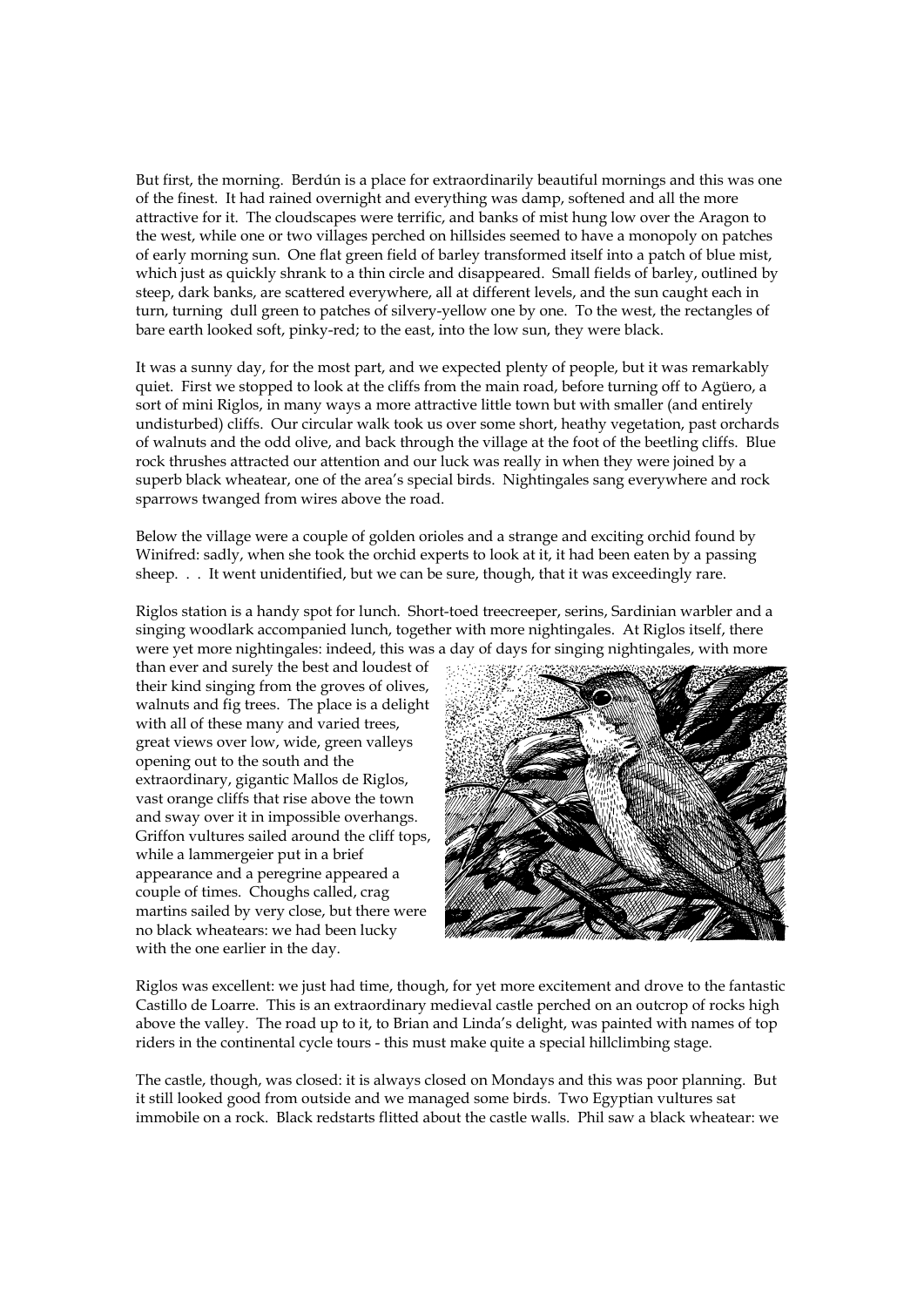But first, the morning. Berdún is a place for extraordinarily beautiful mornings and this was one of the finest. It had rained overnight and everything was damp, softened and all the more attractive for it. The cloudscapes were terrific, and banks of mist hung low over the Aragon to the west, while one or two villages perched on hillsides seemed to have a monopoly on patches of early morning sun. One flat green field of barley transformed itself into a patch of blue mist, which just as quickly shrank to a thin circle and disappeared. Small fields of barley, outlined by steep, dark banks, are scattered everywhere, all at different levels, and the sun caught each in turn, turning dull green to patches of silvery-yellow one by one. To the west, the rectangles of bare earth looked soft, pinky-red; to the east, into the low sun, they were black.

It was a sunny day, for the most part, and we expected plenty of people, but it was remarkably quiet. First we stopped to look at the cliffs from the main road, before turning off to Agüero, a sort of mini Riglos, in many ways a more attractive little town but with smaller (and entirely undisturbed) cliffs. Our circular walk took us over some short, heathy vegetation, past orchards of walnuts and the odd olive, and back through the village at the foot of the beetling cliffs. Blue rock thrushes attracted our attention and our luck was really in when they were joined by a superb black wheatear, one of the area's special birds. Nightingales sang everywhere and rock sparrows twanged from wires above the road.

Below the village were a couple of golden orioles and a strange and exciting orchid found by Winifred: sadly, when she took the orchid experts to look at it, it had been eaten by a passing sheep. . . It went unidentified, but we can be sure, though, that it was exceedingly rare.

Riglos station is a handy spot for lunch. Short-toed treecreeper, serins, Sardinian warbler and a singing woodlark accompanied lunch, together with more nightingales. At Riglos itself, there were yet more nightingales: indeed, this was a day of days for singing nightingales, with more

than ever and surely the best and loudest of their kind singing from the groves of olives, walnuts and fig trees. The place is a delight with all of these many and varied trees, great views over low, wide, green valleys opening out to the south and the extraordinary, gigantic Mallos de Riglos, vast orange cliffs that rise above the town and sway over it in impossible overhangs. Griffon vultures sailed around the cliff tops, while a lammergeier put in a brief appearance and a peregrine appeared a couple of times. Choughs called, crag martins sailed by very close, but there were no black wheatears: we had been lucky with the one earlier in the day.



Riglos was excellent: we just had time, though, for yet more excitement and drove to the fantastic Castillo de Loarre. This is an extraordinary medieval castle perched on an outcrop of rocks high above the valley. The road up to it, to Brian and Linda's delight, was painted with names of top riders in the continental cycle tours - this must make quite a special hillclimbing stage.

The castle, though, was closed: it is always closed on Mondays and this was poor planning. But it still looked good from outside and we managed some birds. Two Egyptian vultures sat immobile on a rock. Black redstarts flitted about the castle walls. Phil saw a black wheatear: we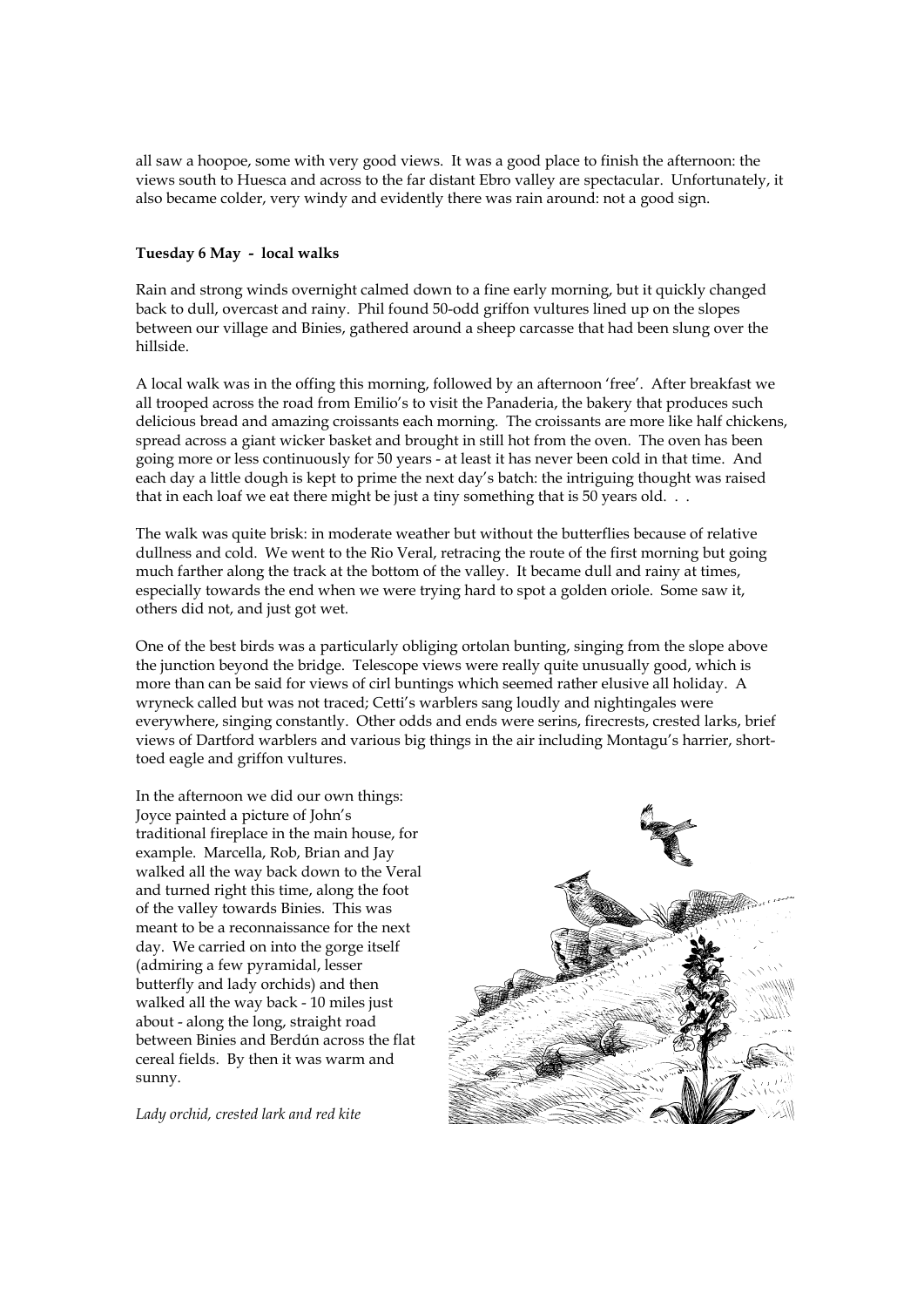all saw a hoopoe, some with very good views. It was a good place to finish the afternoon: the views south to Huesca and across to the far distant Ebro valley are spectacular. Unfortunately, it also became colder, very windy and evidently there was rain around: not a good sign.

#### **Tuesday 6 May - local walks**

Rain and strong winds overnight calmed down to a fine early morning, but it quickly changed back to dull, overcast and rainy. Phil found 50-odd griffon vultures lined up on the slopes between our village and Binies, gathered around a sheep carcasse that had been slung over the hillside.

A local walk was in the offing this morning, followed by an afternoon 'free'. After breakfast we all trooped across the road from Emilio's to visit the Panaderia, the bakery that produces such delicious bread and amazing croissants each morning. The croissants are more like half chickens, spread across a giant wicker basket and brought in still hot from the oven. The oven has been going more or less continuously for 50 years - at least it has never been cold in that time. And each day a little dough is kept to prime the next day's batch: the intriguing thought was raised that in each loaf we eat there might be just a tiny something that is 50 years old. . .

The walk was quite brisk: in moderate weather but without the butterflies because of relative dullness and cold. We went to the Rio Veral, retracing the route of the first morning but going much farther along the track at the bottom of the valley. It became dull and rainy at times, especially towards the end when we were trying hard to spot a golden oriole. Some saw it, others did not, and just got wet.

One of the best birds was a particularly obliging ortolan bunting, singing from the slope above the junction beyond the bridge. Telescope views were really quite unusually good, which is more than can be said for views of cirl buntings which seemed rather elusive all holiday. A wryneck called but was not traced; Cetti's warblers sang loudly and nightingales were everywhere, singing constantly. Other odds and ends were serins, firecrests, crested larks, brief views of Dartford warblers and various big things in the air including Montagu's harrier, shorttoed eagle and griffon vultures.

In the afternoon we did our own things: Joyce painted a picture of John's traditional fireplace in the main house, for example. Marcella, Rob, Brian and Jay walked all the way back down to the Veral and turned right this time, along the foot of the valley towards Binies. This was meant to be a reconnaissance for the next day. We carried on into the gorge itself (admiring a few pyramidal, lesser butterfly and lady orchids) and then walked all the way back - 10 miles just about - along the long, straight road between Binies and Berdún across the flat cereal fields. By then it was warm and sunny.



*Lady orchid, crested lark and red kite*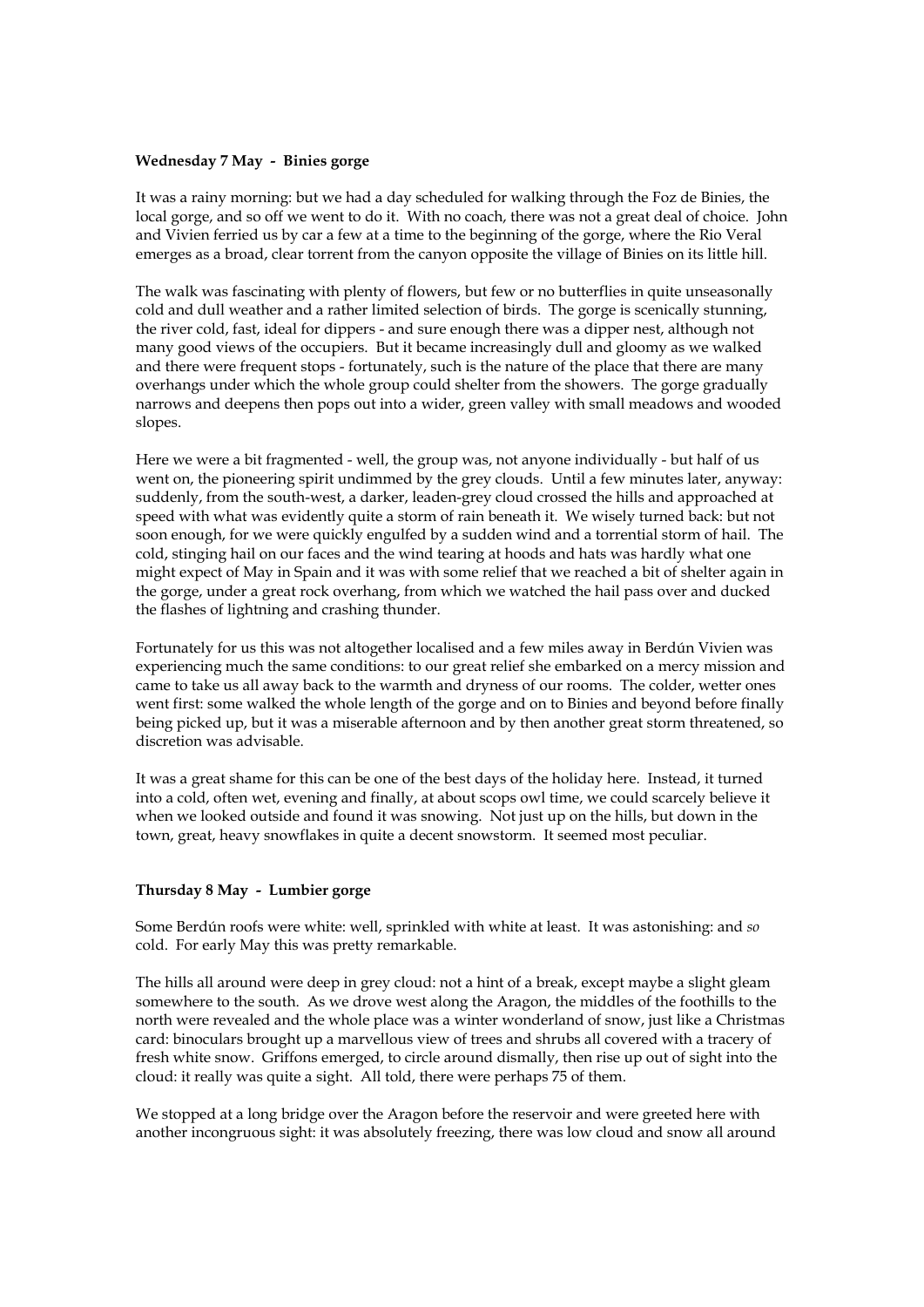#### **Wednesday 7 May - Binies gorge**

It was a rainy morning: but we had a day scheduled for walking through the Foz de Binies, the local gorge, and so off we went to do it. With no coach, there was not a great deal of choice. John and Vivien ferried us by car a few at a time to the beginning of the gorge, where the Rio Veral emerges as a broad, clear torrent from the canyon opposite the village of Binies on its little hill.

The walk was fascinating with plenty of flowers, but few or no butterflies in quite unseasonally cold and dull weather and a rather limited selection of birds. The gorge is scenically stunning, the river cold, fast, ideal for dippers - and sure enough there was a dipper nest, although not many good views of the occupiers. But it became increasingly dull and gloomy as we walked and there were frequent stops - fortunately, such is the nature of the place that there are many overhangs under which the whole group could shelter from the showers. The gorge gradually narrows and deepens then pops out into a wider, green valley with small meadows and wooded slopes.

Here we were a bit fragmented - well, the group was, not anyone individually - but half of us went on, the pioneering spirit undimmed by the grey clouds. Until a few minutes later, anyway: suddenly, from the south-west, a darker, leaden-grey cloud crossed the hills and approached at speed with what was evidently quite a storm of rain beneath it. We wisely turned back: but not soon enough, for we were quickly engulfed by a sudden wind and a torrential storm of hail. The cold, stinging hail on our faces and the wind tearing at hoods and hats was hardly what one might expect of May in Spain and it was with some relief that we reached a bit of shelter again in the gorge, under a great rock overhang, from which we watched the hail pass over and ducked the flashes of lightning and crashing thunder.

Fortunately for us this was not altogether localised and a few miles away in Berdún Vivien was experiencing much the same conditions: to our great relief she embarked on a mercy mission and came to take us all away back to the warmth and dryness of our rooms. The colder, wetter ones went first: some walked the whole length of the gorge and on to Binies and beyond before finally being picked up, but it was a miserable afternoon and by then another great storm threatened, so discretion was advisable.

It was a great shame for this can be one of the best days of the holiday here. Instead, it turned into a cold, often wet, evening and finally, at about scops owl time, we could scarcely believe it when we looked outside and found it was snowing. Not just up on the hills, but down in the town, great, heavy snowflakes in quite a decent snowstorm. It seemed most peculiar.

#### **Thursday 8 May - Lumbier gorge**

Some Berdún roofs were white: well, sprinkled with white at least. It was astonishing: and *so* cold. For early May this was pretty remarkable.

The hills all around were deep in grey cloud: not a hint of a break, except maybe a slight gleam somewhere to the south. As we drove west along the Aragon, the middles of the foothills to the north were revealed and the whole place was a winter wonderland of snow, just like a Christmas card: binoculars brought up a marvellous view of trees and shrubs all covered with a tracery of fresh white snow. Griffons emerged, to circle around dismally, then rise up out of sight into the cloud: it really was quite a sight. All told, there were perhaps 75 of them.

We stopped at a long bridge over the Aragon before the reservoir and were greeted here with another incongruous sight: it was absolutely freezing, there was low cloud and snow all around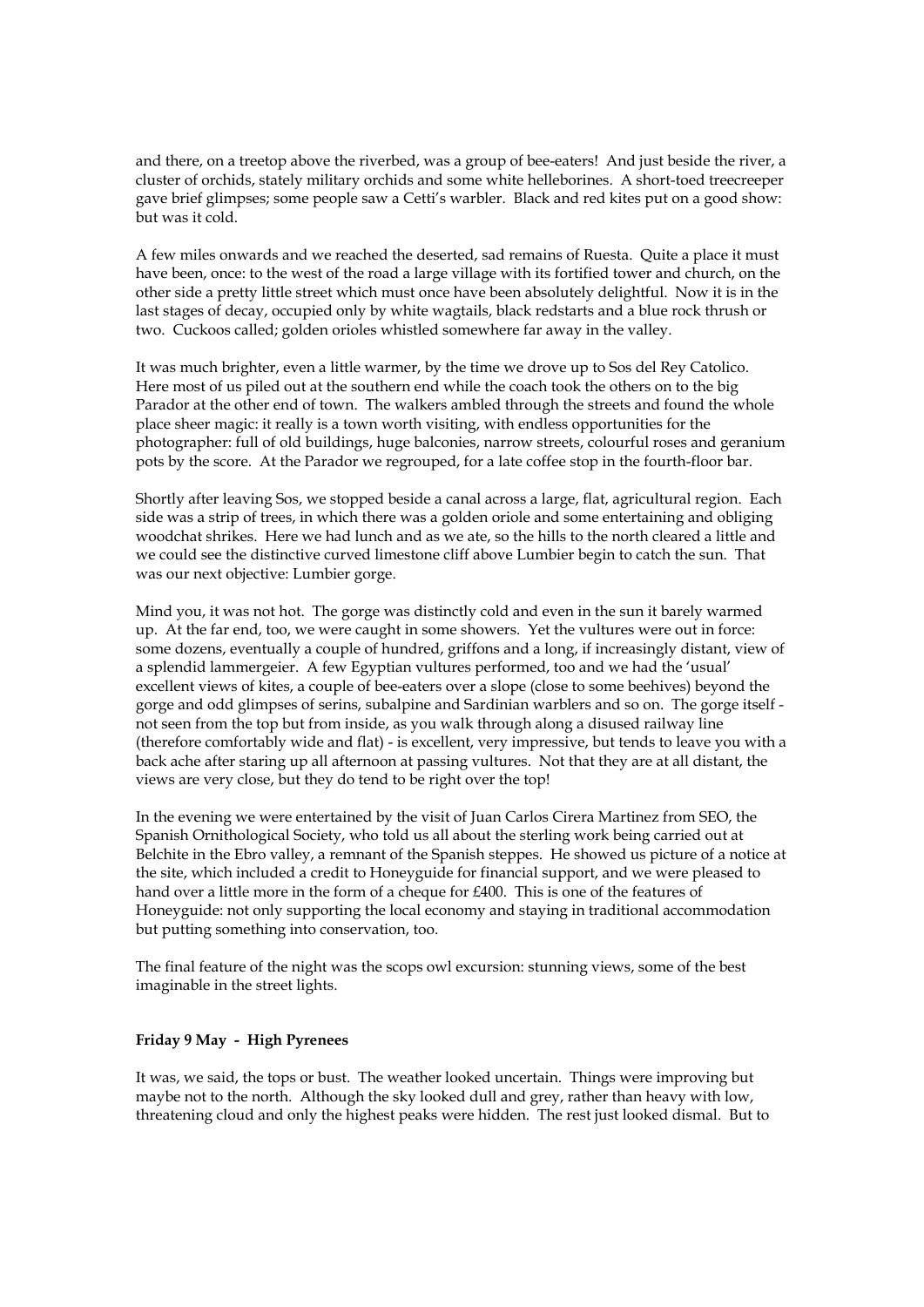and there, on a treetop above the riverbed, was a group of bee-eaters! And just beside the river, a cluster of orchids, stately military orchids and some white helleborines. A short-toed treecreeper gave brief glimpses; some people saw a Cetti's warbler. Black and red kites put on a good show: but was it cold.

A few miles onwards and we reached the deserted, sad remains of Ruesta. Quite a place it must have been, once: to the west of the road a large village with its fortified tower and church, on the other side a pretty little street which must once have been absolutely delightful. Now it is in the last stages of decay, occupied only by white wagtails, black redstarts and a blue rock thrush or two. Cuckoos called; golden orioles whistled somewhere far away in the valley.

It was much brighter, even a little warmer, by the time we drove up to Sos del Rey Catolico. Here most of us piled out at the southern end while the coach took the others on to the big Parador at the other end of town. The walkers ambled through the streets and found the whole place sheer magic: it really is a town worth visiting, with endless opportunities for the photographer: full of old buildings, huge balconies, narrow streets, colourful roses and geranium pots by the score. At the Parador we regrouped, for a late coffee stop in the fourth-floor bar.

Shortly after leaving Sos, we stopped beside a canal across a large, flat, agricultural region. Each side was a strip of trees, in which there was a golden oriole and some entertaining and obliging woodchat shrikes. Here we had lunch and as we ate, so the hills to the north cleared a little and we could see the distinctive curved limestone cliff above Lumbier begin to catch the sun. That was our next objective: Lumbier gorge.

Mind you, it was not hot. The gorge was distinctly cold and even in the sun it barely warmed up. At the far end, too, we were caught in some showers. Yet the vultures were out in force: some dozens, eventually a couple of hundred, griffons and a long, if increasingly distant, view of a splendid lammergeier. A few Egyptian vultures performed, too and we had the 'usual' excellent views of kites, a couple of bee-eaters over a slope (close to some beehives) beyond the gorge and odd glimpses of serins, subalpine and Sardinian warblers and so on. The gorge itself not seen from the top but from inside, as you walk through along a disused railway line (therefore comfortably wide and flat) - is excellent, very impressive, but tends to leave you with a back ache after staring up all afternoon at passing vultures. Not that they are at all distant, the views are very close, but they do tend to be right over the top!

In the evening we were entertained by the visit of Juan Carlos Cirera Martinez from SEO, the Spanish Ornithological Society, who told us all about the sterling work being carried out at Belchite in the Ebro valley, a remnant of the Spanish steppes. He showed us picture of a notice at the site, which included a credit to Honeyguide for financial support, and we were pleased to hand over a little more in the form of a cheque for £400. This is one of the features of Honeyguide: not only supporting the local economy and staying in traditional accommodation but putting something into conservation, too.

The final feature of the night was the scops owl excursion: stunning views, some of the best imaginable in the street lights.

#### **Friday 9 May - High Pyrenees**

It was, we said, the tops or bust. The weather looked uncertain. Things were improving but maybe not to the north. Although the sky looked dull and grey, rather than heavy with low, threatening cloud and only the highest peaks were hidden. The rest just looked dismal. But to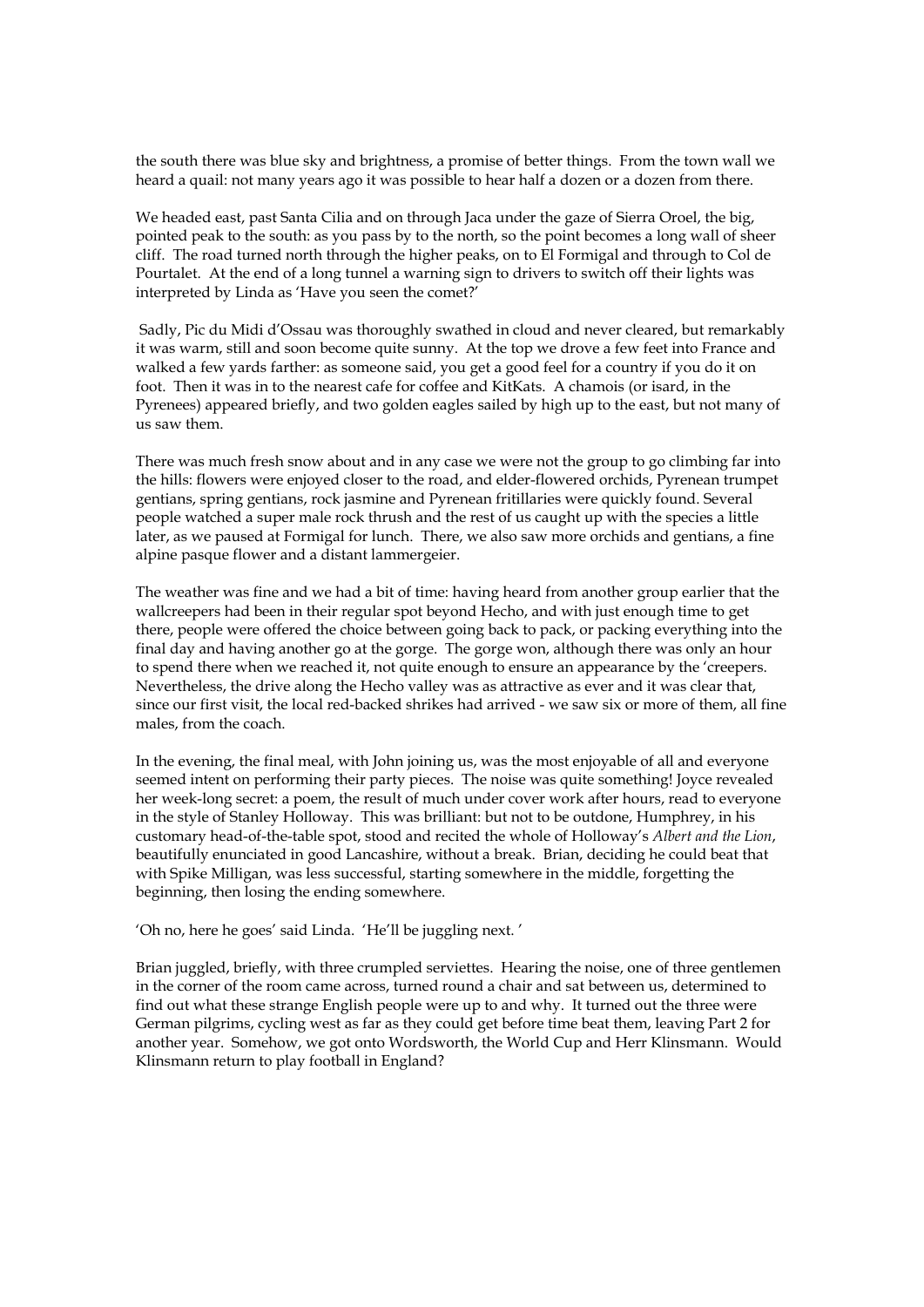the south there was blue sky and brightness, a promise of better things. From the town wall we heard a quail: not many years ago it was possible to hear half a dozen or a dozen from there.

We headed east, past Santa Cilia and on through Jaca under the gaze of Sierra Oroel, the big, pointed peak to the south: as you pass by to the north, so the point becomes a long wall of sheer cliff. The road turned north through the higher peaks, on to El Formigal and through to Col de Pourtalet. At the end of a long tunnel a warning sign to drivers to switch off their lights was interpreted by Linda as 'Have you seen the comet?'

 Sadly, Pic du Midi d'Ossau was thoroughly swathed in cloud and never cleared, but remarkably it was warm, still and soon become quite sunny. At the top we drove a few feet into France and walked a few yards farther: as someone said, you get a good feel for a country if you do it on foot. Then it was in to the nearest cafe for coffee and KitKats. A chamois (or isard, in the Pyrenees) appeared briefly, and two golden eagles sailed by high up to the east, but not many of us saw them.

There was much fresh snow about and in any case we were not the group to go climbing far into the hills: flowers were enjoyed closer to the road, and elder-flowered orchids, Pyrenean trumpet gentians, spring gentians, rock jasmine and Pyrenean fritillaries were quickly found. Several people watched a super male rock thrush and the rest of us caught up with the species a little later, as we paused at Formigal for lunch. There, we also saw more orchids and gentians, a fine alpine pasque flower and a distant lammergeier.

The weather was fine and we had a bit of time: having heard from another group earlier that the wallcreepers had been in their regular spot beyond Hecho, and with just enough time to get there, people were offered the choice between going back to pack, or packing everything into the final day and having another go at the gorge. The gorge won, although there was only an hour to spend there when we reached it, not quite enough to ensure an appearance by the 'creepers. Nevertheless, the drive along the Hecho valley was as attractive as ever and it was clear that, since our first visit, the local red-backed shrikes had arrived - we saw six or more of them, all fine males, from the coach.

In the evening, the final meal, with John joining us, was the most enjoyable of all and everyone seemed intent on performing their party pieces. The noise was quite something! Joyce revealed her week-long secret: a poem, the result of much under cover work after hours, read to everyone in the style of Stanley Holloway. This was brilliant: but not to be outdone, Humphrey, in his customary head-of-the-table spot, stood and recited the whole of Holloway's *Albert and the Lion*, beautifully enunciated in good Lancashire, without a break. Brian, deciding he could beat that with Spike Milligan, was less successful, starting somewhere in the middle, forgetting the beginning, then losing the ending somewhere.

'Oh no, here he goes' said Linda. 'He'll be juggling next. '

Brian juggled, briefly, with three crumpled serviettes. Hearing the noise, one of three gentlemen in the corner of the room came across, turned round a chair and sat between us, determined to find out what these strange English people were up to and why. It turned out the three were German pilgrims, cycling west as far as they could get before time beat them, leaving Part 2 for another year. Somehow, we got onto Wordsworth, the World Cup and Herr Klinsmann. Would Klinsmann return to play football in England?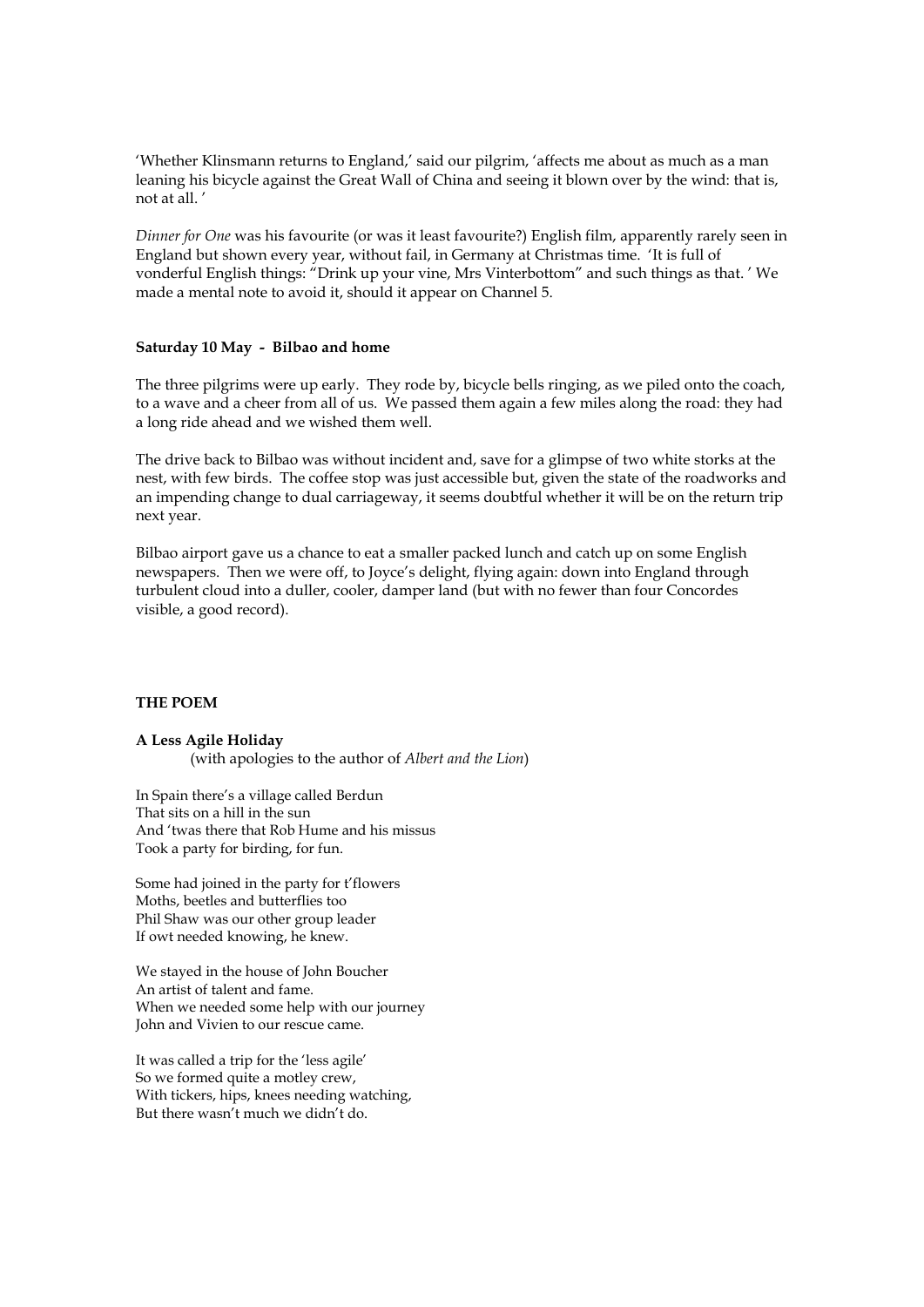'Whether Klinsmann returns to England,' said our pilgrim, 'affects me about as much as a man leaning his bicycle against the Great Wall of China and seeing it blown over by the wind: that is, not at all. '

*Dinner for One* was his favourite (or was it least favourite?) English film, apparently rarely seen in England but shown every year, without fail, in Germany at Christmas time. 'It is full of vonderful English things: "Drink up your vine, Mrs Vinterbottom" and such things as that. ' We made a mental note to avoid it, should it appear on Channel 5.

#### **Saturday 10 May - Bilbao and home**

The three pilgrims were up early. They rode by, bicycle bells ringing, as we piled onto the coach, to a wave and a cheer from all of us. We passed them again a few miles along the road: they had a long ride ahead and we wished them well.

The drive back to Bilbao was without incident and, save for a glimpse of two white storks at the nest, with few birds. The coffee stop was just accessible but, given the state of the roadworks and an impending change to dual carriageway, it seems doubtful whether it will be on the return trip next year.

Bilbao airport gave us a chance to eat a smaller packed lunch and catch up on some English newspapers. Then we were off, to Joyce's delight, flying again: down into England through turbulent cloud into a duller, cooler, damper land (but with no fewer than four Concordes visible, a good record).

#### **THE POEM**

**A Less Agile Holiday** (with apologies to the author of *Albert and the Lion*)

In Spain there's a village called Berdun That sits on a hill in the sun And 'twas there that Rob Hume and his missus Took a party for birding, for fun.

Some had joined in the party for t'flowers Moths, beetles and butterflies too Phil Shaw was our other group leader If owt needed knowing, he knew.

We stayed in the house of John Boucher An artist of talent and fame. When we needed some help with our journey John and Vivien to our rescue came.

It was called a trip for the 'less agile' So we formed quite a motley crew, With tickers, hips, knees needing watching, But there wasn't much we didn't do.